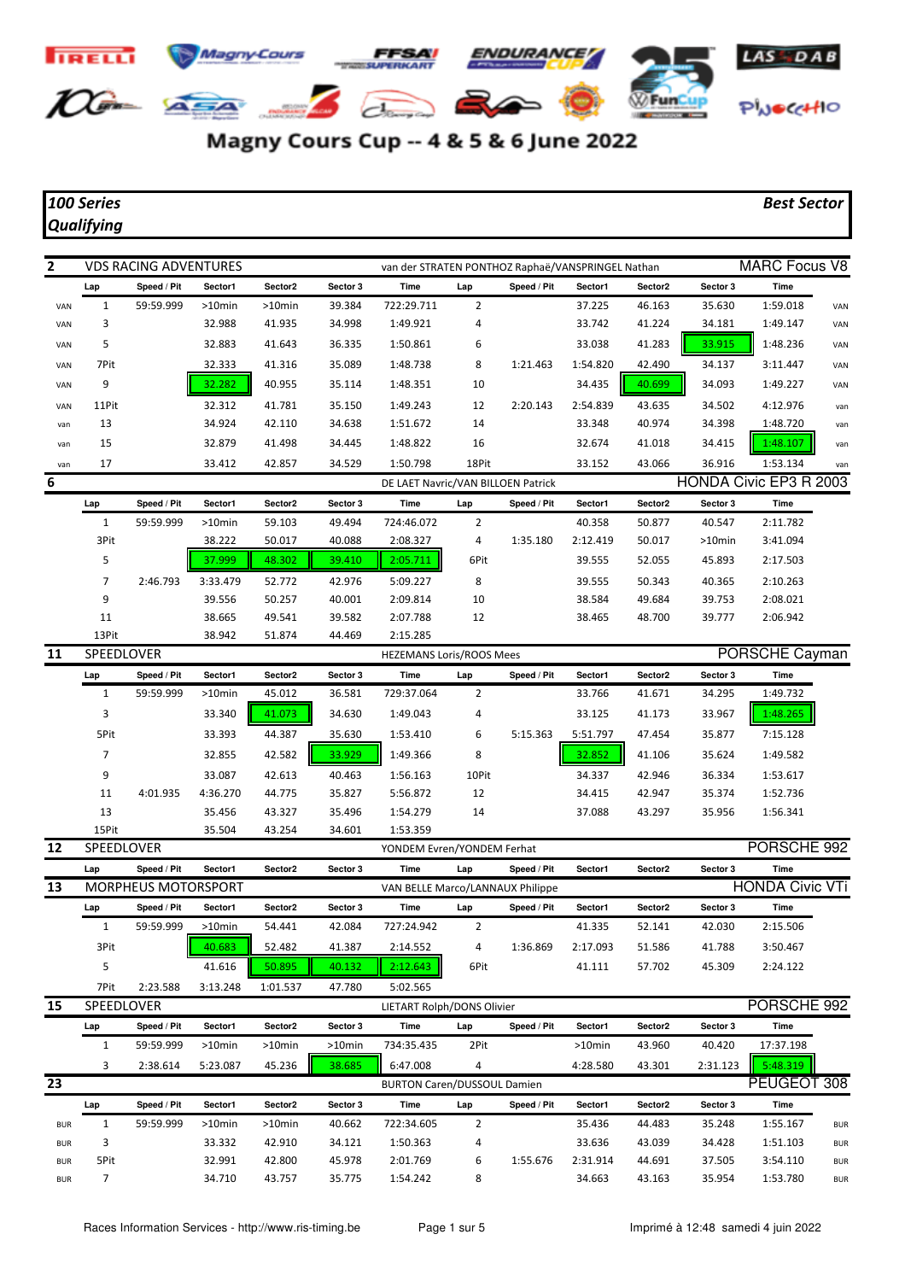

## Magny Cours Cup -- 4 & 5 & 6 June 2022

## *100 Series Best Sector*

## *Qualifying*

| $\mathbf{2}$ |                   | <b>VDS RACING ADVENTURES</b> |           |                                  |          | van der STRATEN PONTHOZ Raphaë/VANSPRINGEL Nathan |                |             |           |         |                | <b>MARC Focus V8</b>   |            |  |  |
|--------------|-------------------|------------------------------|-----------|----------------------------------|----------|---------------------------------------------------|----------------|-------------|-----------|---------|----------------|------------------------|------------|--|--|
|              | Lap               | Speed / Pit                  | Sector1   | Sector2                          | Sector 3 | Time                                              | Lap            | Speed / Pit | Sector1   | Sector2 | Sector 3       | <b>Time</b>            |            |  |  |
| VAN          | $\mathbf{1}$      | 59:59.999                    | $>10$ min | $>10$ min                        | 39.384   | 722:29.711                                        | $\overline{2}$ |             | 37.225    | 46.163  | 35.630         | 1:59.018               | VAN        |  |  |
| VAN          | 3                 |                              | 32.988    | 41.935                           | 34.998   | 1:49.921                                          | 4              |             | 33.742    | 41.224  | 34.181         | 1:49.147               | VAN        |  |  |
| VAN          | 5                 |                              | 32.883    | 41.643                           | 36.335   | 1:50.861                                          | 6              |             | 33.038    | 41.283  | 33.915         | 1:48.236               | VAN        |  |  |
| VAN          | 7Pit              |                              | 32.333    | 41.316                           | 35.089   | 1:48.738                                          | 8              | 1:21.463    | 1:54.820  | 42.490  | 34.137         | 3:11.447               | VAN        |  |  |
| VAN          | 9                 |                              | 32.282    | 40.955                           | 35.114   | 1:48.351                                          | 10             |             | 34.435    | 40.699  | 34.093         | 1:49.227               | VAN        |  |  |
| VAN          | 11Pit             |                              | 32.312    | 41.781                           | 35.150   | 1:49.243                                          | 12             | 2:20.143    | 2:54.839  | 43.635  | 34.502         | 4:12.976               | van        |  |  |
| van          | 13                |                              | 34.924    | 42.110                           | 34.638   | 1:51.672                                          | 14             |             | 33.348    | 40.974  | 34.398         | 1:48.720               | van        |  |  |
| van          | 15                |                              | 32.879    | 41.498                           | 34.445   | 1:48.822                                          | 16             |             | 32.674    | 41.018  | 34.415         | 1:48.107               | van        |  |  |
| van          | 17                |                              | 33.412    | 42.857                           | 34.529   | 1:50.798                                          | 18Pit          |             | 33.152    | 43.066  | 36.916         | 1:53.134               | van        |  |  |
| 6            |                   |                              |           |                                  |          | DE LAET Navric/VAN BILLOEN Patrick                |                |             |           |         |                | HONDA Civic EP3 R 2003 |            |  |  |
|              | Lap               | Speed / Pit                  | Sector1   | Sector2                          | Sector 3 | Time                                              | Lap            | Speed / Pit | Sector1   | Sector2 | Sector 3       | <b>Time</b>            |            |  |  |
|              | $\mathbf{1}$      | 59:59.999                    | >10min    | 59.103                           | 49.494   | 724:46.072                                        | 2              |             | 40.358    | 50.877  | 40.547         | 2:11.782               |            |  |  |
|              | 3Pit              |                              | 38.222    | 50.017                           | 40.088   | 2:08.327                                          | 4              | 1:35.180    | 2:12.419  | 50.017  | >10min         | 3:41.094               |            |  |  |
|              | 5                 |                              | 37.999    | 48.302                           | 39.410   | 2:05.711                                          | 6Pit           |             | 39.555    | 52.055  | 45.893         | 2:17.503               |            |  |  |
|              | 7                 | 2:46.793                     | 3:33.479  | 52.772                           | 42.976   | 5:09.227                                          | 8              |             | 39.555    | 50.343  | 40.365         | 2:10.263               |            |  |  |
|              | 9                 |                              | 39.556    | 50.257                           | 40.001   | 2:09.814                                          | 10             |             | 38.584    | 49.684  | 39.753         | 2:08.021               |            |  |  |
|              | 11                |                              | 38.665    | 49.541                           | 39.582   | 2:07.788                                          | 12             |             | 38.465    | 48.700  | 39.777         | 2:06.942               |            |  |  |
|              | 13Pit             |                              | 38.942    | 51.874                           | 44.469   | 2:15.285                                          |                |             |           |         |                |                        |            |  |  |
| 11           | <b>SPEEDLOVER</b> |                              |           |                                  |          | <b>HEZEMANS Loris/ROOS Mees</b>                   |                |             |           |         | PORSCHE Cayman |                        |            |  |  |
|              | Lap               | Speed / Pit                  | Sector1   | Sector2                          | Sector 3 | Time                                              | Lap            | Speed / Pit | Sector1   | Sector2 | Sector 3       | Time                   |            |  |  |
|              | $\mathbf{1}$      | 59:59.999                    | >10min    | 45.012                           | 36.581   | 729:37.064                                        | $\overline{2}$ |             | 33.766    | 41.671  | 34.295         | 1:49.732               |            |  |  |
|              | 3                 |                              | 33.340    | 41.073                           | 34.630   | 1:49.043                                          | 4              |             | 33.125    | 41.173  | 33.967         | 1:48.265               |            |  |  |
|              | 5Pit              |                              | 33.393    | 44.387                           | 35.630   | 1:53.410                                          | 6              | 5:15.363    | 5:51.797  | 47.454  | 35.877         | 7:15.128               |            |  |  |
|              | 7                 |                              | 32.855    | 42.582                           | 33.929   | 1:49.366                                          | 8              |             | 32.852    | 41.106  | 35.624         | 1:49.582               |            |  |  |
|              | 9                 |                              | 33.087    | 42.613                           | 40.463   | 1:56.163                                          | 10Pit          |             | 34.337    | 42.946  | 36.334         | 1:53.617               |            |  |  |
|              | 11                | 4:01.935                     | 4:36.270  | 44.775                           | 35.827   | 5:56.872                                          | 12             |             | 34.415    | 42.947  | 35.374         | 1:52.736               |            |  |  |
|              | 13                |                              | 35.456    | 43.327                           | 35.496   | 1:54.279                                          | 14             |             | 37.088    | 43.297  | 35.956         | 1:56.341               |            |  |  |
|              | 15Pit             |                              | 35.504    | 43.254                           | 34.601   | 1:53.359                                          |                |             |           |         |                |                        |            |  |  |
| 12           | SPEEDLOVER        |                              |           |                                  |          | YONDEM Evren/YONDEM Ferhat                        |                |             |           |         |                | PORSCHE 992            |            |  |  |
|              | Lap               | Speed / Pit                  | Sector1   | Sector2                          | Sector 3 | Time                                              | Lap            | Speed / Pit | Sector1   | Sector2 | Sector 3       | Time                   |            |  |  |
| 13           |                   | <b>MORPHEUS MOTORSPORT</b>   |           | VAN BELLE Marco/LANNAUX Philippe |          |                                                   |                |             |           |         |                | <b>HONDA Civic VTi</b> |            |  |  |
|              | Lap               | Speed / Pit                  | Sector1   | Sector2                          | Sector 3 | Time                                              | Lap            | Speed / Pit | Sector1   | Sector2 | Sector 3       | <b>Time</b>            |            |  |  |
|              | 1                 | 59:59.999                    | >10min    | 54.441                           | 42.084   | 727:24.942                                        | 2              |             | 41.335    | 52.141  | 42.030         | 2:15.506               |            |  |  |
|              | 3Pit              |                              | 40.683    | 52.482                           | 41.387   | 2:14.552                                          | 4              | 1:36.869    | 2:17.093  | 51.586  | 41.788         | 3:50.467               |            |  |  |
|              | 5                 |                              | 41.616    | 50.895                           | 40.132   | 2:12.643                                          | 6Pit           |             | 41.111    | 57.702  | 45.309         | 2:24.122               |            |  |  |
|              | 7Pit              | 2:23.588                     | 3:13.248  | 1:01.537                         | 47.780   | 5:02.565                                          |                |             |           |         |                |                        |            |  |  |
| 15           | SPEEDLOVER        |                              |           |                                  |          | LIETART Rolph/DONS Olivier                        |                |             |           |         |                | PORSCHE 992            |            |  |  |
|              | Lap               | Speed / Pit                  | Sector1   | Sector2                          | Sector 3 | Time                                              | Lap            | Speed / Pit | Sector1   | Sector2 | Sector 3       | Time                   |            |  |  |
|              | $\mathbf{1}$      | 59:59.999                    | >10min    | >10min                           | >10min   | 734:35.435                                        | 2Pit           |             | $>10$ min | 43.960  | 40.420         | 17:37.198              |            |  |  |
|              | 3                 | 2:38.614                     | 5:23.087  | 45.236                           | 38.685   | 6:47.008                                          | 4              |             | 4:28.580  | 43.301  | 2:31.123       | 5:48.319               |            |  |  |
| 23           |                   |                              |           |                                  |          | <b>BURTON Caren/DUSSOUL Damien</b>                |                |             |           |         |                | PEUGEOT 308            |            |  |  |
|              | Lap               | Speed / Pit                  | Sector1   | Sector2                          | Sector 3 | Time                                              | Lap            | Speed / Pit | Sector1   | Sector2 | Sector 3       | Time                   |            |  |  |
| <b>BUR</b>   | 1                 | 59:59.999                    | >10min    | >10min                           | 40.662   | 722:34.605                                        | 2              |             | 35.436    | 44.483  | 35.248         | 1:55.167               | <b>BUR</b> |  |  |
| <b>BUR</b>   | 3                 |                              | 33.332    | 42.910                           | 34.121   | 1:50.363                                          | 4              |             | 33.636    | 43.039  | 34.428         | 1:51.103               | <b>BUR</b> |  |  |
| <b>BUR</b>   | 5Pit              |                              | 32.991    | 42.800                           | 45.978   | 2:01.769                                          | 6              | 1:55.676    | 2:31.914  | 44.691  | 37.505         | 3:54.110               | <b>BUR</b> |  |  |
| <b>BUR</b>   | $\overline{7}$    |                              | 34.710    | 43.757                           | 35.775   | 1:54.242                                          | 8              |             | 34.663    | 43.163  | 35.954         | 1:53.780               | <b>BUR</b> |  |  |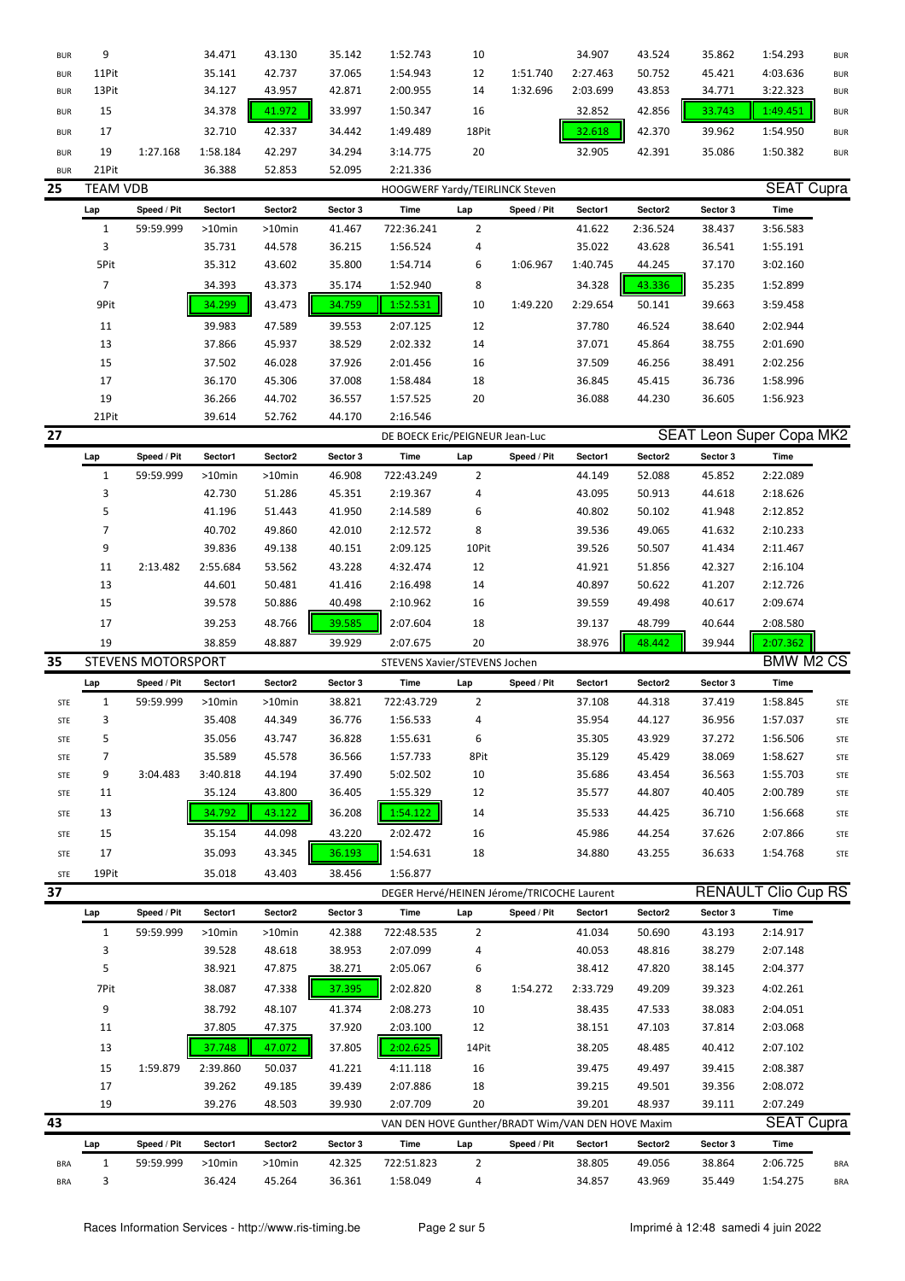| <b>BUR</b> | 9               |                           | 34.471    | 43.130    | 35.142   | 1:52.743                                          | 10             |             | 34.907   | 43.524   | 35.862   | 1:54.293                        | <b>BUR</b> |
|------------|-----------------|---------------------------|-----------|-----------|----------|---------------------------------------------------|----------------|-------------|----------|----------|----------|---------------------------------|------------|
| <b>BUR</b> | 11Pit           |                           | 35.141    | 42.737    | 37.065   | 1:54.943                                          | 12             | 1:51.740    | 2:27.463 | 50.752   | 45.421   | 4:03.636                        | <b>BUR</b> |
| <b>BUR</b> | 13Pit           |                           | 34.127    | 43.957    | 42.871   | 2:00.955                                          | 14             | 1:32.696    | 2:03.699 | 43.853   | 34.771   | 3:22.323                        | <b>BUR</b> |
| <b>BUR</b> | 15              |                           | 34.378    | 41.972    | 33.997   | 1:50.347                                          | 16             |             | 32.852   | 42.856   | 33.743   | 1:49.451                        | <b>BUR</b> |
|            |                 |                           | 32.710    | 42.337    | 34.442   | 1:49.489                                          | 18Pit          |             | 32.618   | 42.370   |          |                                 |            |
| <b>BUR</b> | 17              |                           |           |           |          |                                                   |                |             |          |          | 39.962   | 1:54.950                        | <b>BUR</b> |
| <b>BUR</b> | 19              | 1:27.168                  | 1:58.184  | 42.297    | 34.294   | 3:14.775                                          | 20             |             | 32.905   | 42.391   | 35.086   | 1:50.382                        | <b>BUR</b> |
| <b>BUR</b> | 21Pit           |                           | 36.388    | 52.853    | 52.095   | 2:21.336                                          |                |             |          |          |          |                                 |            |
| 25         | <b>TEAM VDB</b> |                           |           |           |          | HOOGWERF Yardy/TEIRLINCK Steven                   |                |             |          |          |          | <b>SEAT Cupra</b>               |            |
|            | Lap             | Speed / Pit               | Sector1   | Sector2   | Sector 3 | Time                                              | Lap            | Speed / Pit | Sector1  | Sector2  | Sector 3 | Time                            |            |
|            | $\mathbf{1}$    | 59:59.999                 | $>10$ min | >10min    | 41.467   | 722:36.241                                        | 2              |             | 41.622   | 2:36.524 | 38.437   | 3:56.583                        |            |
|            | 3               |                           | 35.731    | 44.578    | 36.215   | 1:56.524                                          | 4              |             | 35.022   | 43.628   | 36.541   | 1:55.191                        |            |
|            | 5Pit            |                           | 35.312    | 43.602    | 35.800   | 1:54.714                                          | 6              | 1:06.967    | 1:40.745 | 44.245   | 37.170   | 3:02.160                        |            |
|            | 7               |                           | 34.393    | 43.373    | 35.174   | 1:52.940                                          | 8              |             | 34.328   | 43.336   | 35.235   | 1:52.899                        |            |
|            | 9Pit            |                           | 34.299    | 43.473    | 34.759   | 1:52.531                                          | 10             | 1:49.220    | 2:29.654 | 50.141   | 39.663   | 3:59.458                        |            |
|            | 11              |                           | 39.983    | 47.589    | 39.553   | 2:07.125                                          | 12             |             | 37.780   | 46.524   | 38.640   | 2:02.944                        |            |
|            | 13              |                           | 37.866    | 45.937    | 38.529   | 2:02.332                                          | 14             |             | 37.071   | 45.864   | 38.755   | 2:01.690                        |            |
|            | 15              |                           | 37.502    | 46.028    | 37.926   | 2:01.456                                          | 16             |             | 37.509   | 46.256   | 38.491   | 2:02.256                        |            |
|            | 17              |                           | 36.170    | 45.306    | 37.008   | 1:58.484                                          | 18             |             | 36.845   | 45.415   | 36.736   | 1:58.996                        |            |
|            | 19              |                           | 36.266    | 44.702    | 36.557   | 1:57.525                                          | 20             |             | 36.088   | 44.230   | 36.605   | 1:56.923                        |            |
|            | 21Pit           |                           | 39.614    | 52.762    | 44.170   | 2:16.546                                          |                |             |          |          |          |                                 |            |
| 27         |                 |                           |           |           |          | DE BOECK Eric/PEIGNEUR Jean-Luc                   |                |             |          |          |          | <b>SEAT Leon Super Copa MK2</b> |            |
|            | Lap             | Speed / Pit               | Sector1   | Sector2   | Sector 3 | Time                                              | Lap            | Speed / Pit | Sector1  | Sector2  | Sector 3 | Time                            |            |
|            | $\mathbf{1}$    | 59:59.999                 | $>10$ min | $>10$ min | 46.908   | 722:43.249                                        | $\overline{2}$ |             | 44.149   | 52.088   | 45.852   | 2:22.089                        |            |
|            | 3               |                           | 42.730    | 51.286    | 45.351   | 2:19.367                                          | 4              |             | 43.095   | 50.913   | 44.618   | 2:18.626                        |            |
|            | 5               |                           | 41.196    | 51.443    | 41.950   | 2:14.589                                          | 6              |             | 40.802   | 50.102   | 41.948   | 2:12.852                        |            |
|            | $\overline{7}$  |                           | 40.702    | 49.860    | 42.010   | 2:12.572                                          | 8              |             | 39.536   | 49.065   | 41.632   | 2:10.233                        |            |
|            | 9               |                           | 39.836    | 49.138    | 40.151   | 2:09.125                                          | 10Pit          |             | 39.526   | 50.507   | 41.434   | 2:11.467                        |            |
|            | 11              | 2:13.482                  | 2:55.684  | 53.562    | 43.228   | 4:32.474                                          | 12             |             | 41.921   | 51.856   | 42.327   | 2:16.104                        |            |
|            | 13              |                           | 44.601    | 50.481    | 41.416   | 2:16.498                                          | 14             |             | 40.897   | 50.622   | 41.207   | 2:12.726                        |            |
|            | 15              |                           | 39.578    | 50.886    | 40.498   | 2:10.962                                          | 16             |             | 39.559   | 49.498   | 40.617   | 2:09.674                        |            |
|            |                 |                           |           |           |          |                                                   |                |             |          |          |          |                                 |            |
|            | 17              |                           | 39.253    | 48.766    | 39.585   | 2:07.604                                          | 18             |             | 39.137   | 48.799   | 40.644   | 2:08.580                        |            |
|            |                 |                           |           |           |          |                                                   |                |             |          |          |          |                                 |            |
|            | 19              |                           | 38.859    | 48.887    | 39.929   | 2:07.675                                          | 20             |             | 38.976   | 48.442   | 39.944   | 2:07.362                        |            |
| 35         |                 | <b>STEVENS MOTORSPORT</b> |           |           |          | STEVENS Xavier/STEVENS Jochen                     |                |             |          |          |          | <b>BMW M2 CS</b>                |            |
|            | Lap             | Speed / Pit               | Sector1   | Sector2   | Sector 3 | Time                                              | Lap            | Speed / Pit | Sector1  | Sector2  | Sector 3 | Time                            |            |
| <b>STE</b> | $\mathbf{1}$    | 59:59.999                 | >10min    | >10min    | 38.821   | 722:43.729                                        | 2              |             | 37.108   | 44.318   | 37.419   | 1:58.845                        | <b>STE</b> |
| <b>STE</b> | 3               |                           | 35.408    | 44.349    | 36.776   | 1:56.533                                          | 4              |             | 35.954   | 44.127   | 36.956   | 1:57.037                        | <b>STE</b> |
| STE        | 5               |                           | 35.056    | 43.747    | 36.828   | 1:55.631                                          | 6              |             | 35.305   | 43.929   | 37.272   | 1:56.506                        | STE        |
| STE        | 7               |                           | 35.589    | 45.578    | 36.566   | 1:57.733                                          | 8Pit           |             | 35.129   | 45.429   | 38.069   | 1:58.627                        | STE        |
| STE        | 9               | 3:04.483                  | 3:40.818  | 44.194    | 37.490   | 5:02.502                                          | 10             |             | 35.686   | 43.454   | 36.563   | 1:55.703                        | STE        |
| STE        | 11              |                           | 35.124    | 43.800    | 36.405   | 1:55.329                                          | 12             |             | 35.577   | 44.807   | 40.405   | 2:00.789                        | STE        |
| STE        | 13              |                           | 34.792    | 43.122    | 36.208   | 1:54.122                                          | 14             |             | 35.533   | 44.425   | 36.710   | 1:56.668                        | STE        |
| STE        | 15              |                           | 35.154    | 44.098    | 43.220   | 2:02.472                                          | 16             |             | 45.986   | 44.254   | 37.626   | 2:07.866                        | STE        |
| <b>STE</b> | 17              |                           | 35.093    | 43.345    | 36.193   | 1:54.631                                          | 18             |             | 34.880   | 43.255   | 36.633   | 1:54.768                        | STE        |
| STE        | 19Pit           |                           | 35.018    | 43.403    | 38.456   | 1:56.877                                          |                |             |          |          |          |                                 |            |
| 37         |                 |                           |           |           |          | DEGER Hervé/HEINEN Jérome/TRICOCHE Laurent        |                |             |          |          |          | <b>RENAULT Clio Cup RS</b>      |            |
|            | Lap             | Speed / Pit               | Sector1   | Sector2   | Sector 3 | Time                                              | Lap            | Speed / Pit | Sector1  | Sector2  | Sector 3 | Time                            |            |
|            | $\mathbf{1}$    | 59:59.999                 | >10min    | $>10$ min | 42.388   | 722:48.535                                        | $\overline{2}$ |             | 41.034   | 50.690   | 43.193   | 2:14.917                        |            |
|            | 3               |                           | 39.528    | 48.618    | 38.953   | 2:07.099                                          | 4              |             | 40.053   | 48.816   | 38.279   | 2:07.148                        |            |
|            | 5               |                           | 38.921    | 47.875    | 38.271   | 2:05.067                                          | 6              |             | 38.412   | 47.820   | 38.145   | 2:04.377                        |            |
|            | 7Pit            |                           | 38.087    | 47.338    | 37.395   | 2:02.820                                          | 8              | 1:54.272    | 2:33.729 | 49.209   | 39.323   | 4:02.261                        |            |
|            | 9               |                           | 38.792    | 48.107    | 41.374   | 2:08.273                                          | 10             |             | 38.435   | 47.533   | 38.083   | 2:04.051                        |            |
|            | 11              |                           | 37.805    | 47.375    | 37.920   | 2:03.100                                          | 12             |             | 38.151   | 47.103   | 37.814   | 2:03.068                        |            |
|            | 13              |                           | 37.748    | 47.072    | 37.805   | 2:02.625                                          | 14Pit          |             | 38.205   | 48.485   | 40.412   | 2:07.102                        |            |
|            | 15              | 1:59.879                  | 2:39.860  | 50.037    | 41.221   | 4:11.118                                          | 16             |             | 39.475   | 49.497   | 39.415   | 2:08.387                        |            |
|            | 17              |                           | 39.262    | 49.185    | 39.439   | 2:07.886                                          | 18             |             | 39.215   | 49.501   | 39.356   | 2:08.072                        |            |
|            | 19              |                           | 39.276    | 48.503    | 39.930   | 2:07.709                                          | 20             |             | 39.201   | 48.937   | 39.111   | 2:07.249                        |            |
| 43         |                 |                           |           |           |          | VAN DEN HOVE Gunther/BRADT Wim/VAN DEN HOVE Maxim |                |             |          |          |          | <b>SEAT Cupra</b>               |            |
|            | Lap             | Speed / Pit               | Sector1   | Sector2   | Sector 3 | Time                                              | Lap            | Speed / Pit | Sector1  | Sector2  | Sector 3 | Time                            |            |
| <b>BRA</b> | $\mathbf{1}$    | 59:59.999                 | >10min    | >10min    | 42.325   | 722:51.823                                        | 2              |             | 38.805   | 49.056   | 38.864   | 2:06.725                        | <b>BRA</b> |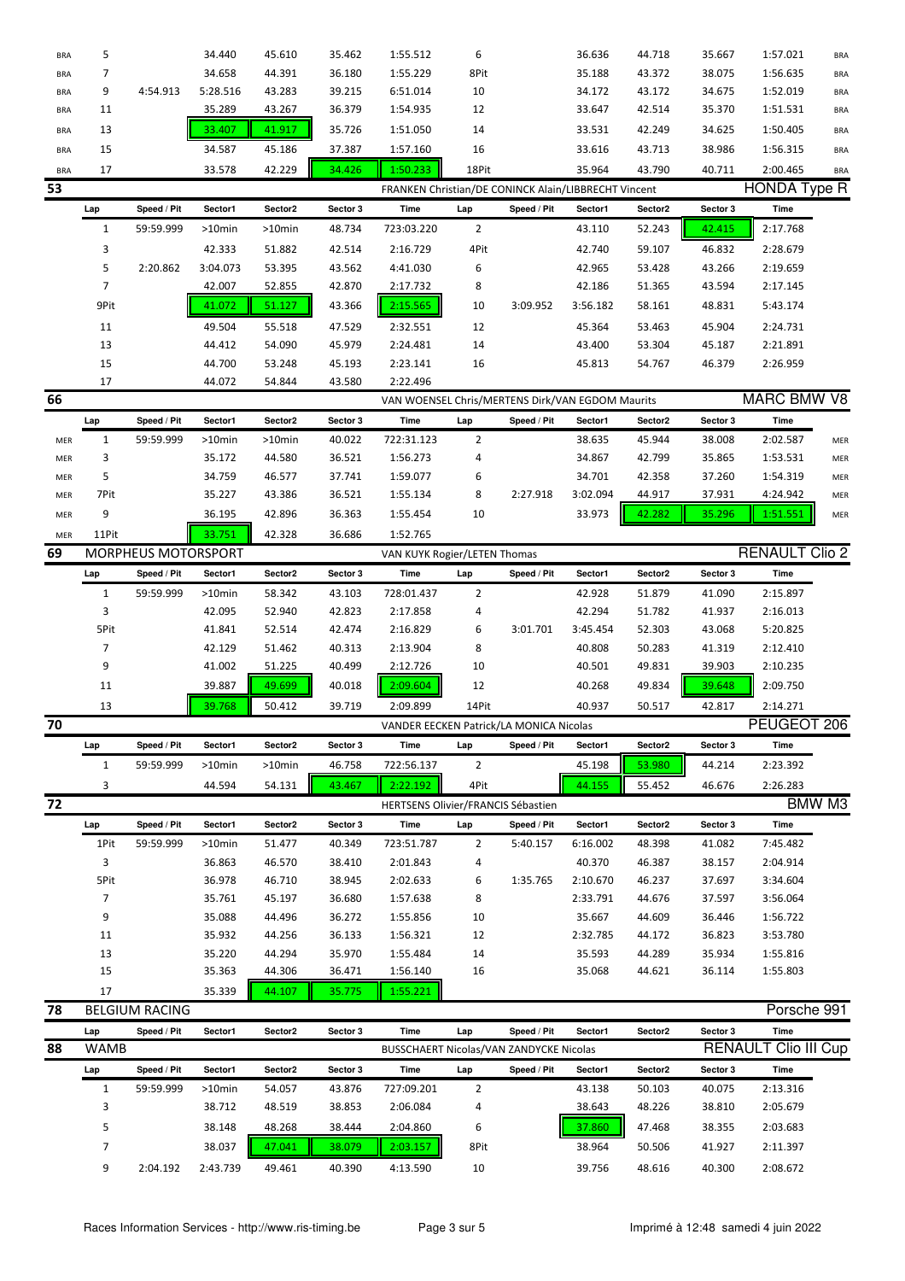| <b>BRA</b> | 5            |                       | 34.440    | 45.610    | 35.462   | 1:55.512                                             | 6              |             | 36.636   | 44.718  | 35.667         | 1:57.021              | <b>BRA</b> |
|------------|--------------|-----------------------|-----------|-----------|----------|------------------------------------------------------|----------------|-------------|----------|---------|----------------|-----------------------|------------|
| <b>BRA</b> | 7            |                       | 34.658    | 44.391    | 36.180   | 1:55.229                                             | 8Pit           |             | 35.188   | 43.372  | 38.075         | 1:56.635              | <b>BRA</b> |
| <b>BRA</b> | 9            | 4:54.913              | 5:28.516  | 43.283    | 39.215   | 6:51.014                                             | 10             |             | 34.172   | 43.172  | 34.675         | 1:52.019              | <b>BRA</b> |
| <b>BRA</b> | 11           |                       | 35.289    | 43.267    | 36.379   | 1:54.935                                             | 12             |             | 33.647   | 42.514  | 35.370         | 1:51.531              | <b>BRA</b> |
| <b>BRA</b> | 13           |                       | 33.407    | 41.917    | 35.726   | 1:51.050                                             | 14             |             | 33.531   | 42.249  | 34.625         | 1:50.405              | <b>BRA</b> |
| <b>BRA</b> | 15           |                       | 34.587    | 45.186    | 37.387   | 1:57.160                                             | 16             |             | 33.616   | 43.713  | 38.986         | 1:56.315              | <b>BRA</b> |
|            |              |                       |           |           |          |                                                      |                |             |          |         |                |                       |            |
| <b>BRA</b> | 17           |                       | 33.578    | 42.229    | 34.426   | 1:50.233                                             | 18Pit          |             | 35.964   | 43.790  | 40.711         | 2:00.465              | <b>BRA</b> |
| 53         |              |                       |           |           |          | FRANKEN Christian/DE CONINCK Alain/LIBBRECHT Vincent |                |             |          |         |                | <b>HONDA Type R</b>   |            |
|            | Lap          | Speed / Pit           | Sector1   | Sector2   | Sector 3 | Time                                                 | Lap            | Speed / Pit | Sector1  | Sector2 | Sector 3       | Time                  |            |
|            | $\mathbf{1}$ | 59:59.999             | >10min    | $>10$ min | 48.734   | 723:03.220                                           | $\overline{2}$ |             | 43.110   | 52.243  | 42.415         | 2:17.768              |            |
|            | 3            |                       | 42.333    | 51.882    | 42.514   | 2:16.729                                             | 4Pit           |             | 42.740   | 59.107  | 46.832         | 2:28.679              |            |
|            | 5            | 2:20.862              | 3:04.073  | 53.395    | 43.562   | 4:41.030                                             | 6              |             | 42.965   | 53.428  | 43.266         | 2:19.659              |            |
|            | 7            |                       | 42.007    | 52.855    | 42.870   | 2:17.732                                             | 8              |             | 42.186   | 51.365  | 43.594         | 2:17.145              |            |
|            | 9Pit         |                       | 41.072    | 51.127    | 43.366   | 2:15.565                                             | 10             | 3:09.952    | 3:56.182 | 58.161  | 48.831         | 5:43.174              |            |
|            | 11           |                       | 49.504    | 55.518    | 47.529   | 2:32.551                                             | 12             |             | 45.364   | 53.463  | 45.904         | 2:24.731              |            |
|            | 13           |                       | 44.412    | 54.090    | 45.979   | 2:24.481                                             | 14             |             | 43.400   | 53.304  | 45.187         | 2:21.891              |            |
|            | 15           |                       | 44.700    | 53.248    | 45.193   | 2:23.141                                             | 16             |             | 45.813   | 54.767  | 46.379         | 2:26.959              |            |
|            | 17           |                       | 44.072    | 54.844    | 43.580   | 2:22.496                                             |                |             |          |         |                |                       |            |
| 66         |              |                       |           |           |          | VAN WOENSEL Chris/MERTENS Dirk/VAN EGDOM Maurits     |                |             |          |         |                | <b>MARC BMW V8</b>    |            |
|            | Lap          | Speed / Pit           | Sector1   | Sector2   | Sector 3 | Time                                                 | Lap            | Speed / Pit | Sector1  | Sector2 | Sector 3       | <b>Time</b>           |            |
| MER        | $\mathbf{1}$ | 59:59.999             | >10min    | >10min    | 40.022   | 722:31.123                                           | 2              |             | 38.635   | 45.944  | 38.008         | 2:02.587              | MER        |
| MER        | 3            |                       | 35.172    | 44.580    | 36.521   | 1:56.273                                             | 4              |             | 34.867   | 42.799  | 35.865         | 1:53.531              | MER        |
| MER        | 5            |                       | 34.759    | 46.577    | 37.741   | 1:59.077                                             | 6              |             | 34.701   | 42.358  | 37.260         | 1:54.319              | MER        |
| MER        | 7Pit         |                       | 35.227    | 43.386    | 36.521   | 1:55.134                                             | 8              | 2:27.918    | 3:02.094 | 44.917  | 37.931         | 4:24.942              | MER        |
| MER        | 9            |                       | 36.195    | 42.896    | 36.363   | 1:55.454                                             | 10             |             | 33.973   | 42.282  | 35.296         | 1:51.551              | MER        |
| MER        | 11Pit        |                       | 33.751    | 42.328    | 36.686   | 1:52.765                                             |                |             |          |         |                |                       |            |
| 69         |              | MORPHEUS MOTORSPORT   |           |           |          | VAN KUYK Rogier/LETEN Thomas                         |                |             |          |         |                | <b>RENAULT Clio 2</b> |            |
|            | Lap          | Speed / Pit           | Sector1   | Sector2   | Sector 3 | Time                                                 | Lap            | Speed / Pit | Sector1  | Sector2 | Sector 3       | Time                  |            |
|            | $\mathbf{1}$ | 59:59.999             | $>10$ min | 58.342    | 43.103   | 728:01.437                                           | $\overline{2}$ |             | 42.928   | 51.879  | 41.090         | 2:15.897              |            |
|            | 3            |                       | 42.095    | 52.940    | 42.823   | 2:17.858                                             | 4              |             | 42.294   | 51.782  | 41.937         | 2:16.013              |            |
|            | 5Pit         |                       | 41.841    | 52.514    | 42.474   | 2:16.829                                             | 6              | 3:01.701    | 3:45.454 | 52.303  | 43.068         | 5:20.825              |            |
|            | 7            |                       | 42.129    | 51.462    | 40.313   | 2:13.904                                             | 8              |             | 40.808   | 50.283  | 41.319         | 2:12.410              |            |
|            | 9            |                       | 41.002    | 51.225    | 40.499   | 2:12.726                                             | 10             |             | 40.501   | 49.831  | 39.903         | 2:10.235              |            |
|            | 11           |                       | 39.887    | 49.699    | 40.018   | 2:09.604                                             | 12             |             | 40.268   | 49.834  | 39.648         | 2:09.750              |            |
|            | 13           |                       | 39.768    | 50.412    | 39.719   | 2:09.899                                             | 14Pit          |             | 40.937   | 50.517  | 42.817         | 2:14.271              |            |
| 70         |              |                       |           |           |          | VANDER EECKEN Patrick/LA MONICA Nicolas              |                |             |          |         |                | PEUGEOT 206           |            |
|            |              |                       |           |           |          |                                                      |                |             |          |         |                |                       |            |
|            | Lap          | Speed / Pit           | Sector1   | Sector2   | Sector 3 | Time                                                 | Lap            | Speed / Pit | Sector1  | Sector2 | Sector 3       | Time                  |            |
|            | 1            | 59:59.999             | >10min    | >10min    | 46.758   | 722:56.137                                           | $\overline{2}$ |             | 45.198   | 53.980  | 44.214         | 2:23.392              |            |
|            | 3            |                       | 44.594    | 54.131    | 43.467   | 2:22.192                                             | 4Pit           |             | 44.155   | 55.452  | 46.676         | 2:26.283              |            |
| 72         |              |                       |           |           |          | HERTSENS Olivier/FRANCIS Sébastien                   |                |             |          |         |                |                       | BMW M3     |
|            | Lap          | Speed / Pit           | Sector1   | Sector2   | Sector 3 | Time                                                 | Lap            | Speed / Pit | Sector1  | Sector2 | Sector 3       | Time                  |            |
|            | 1Pit         | 59:59.999             | >10min    | 51.477    | 40.349   | 723:51.787                                           | $\overline{2}$ | 5:40.157    | 6:16.002 | 48.398  | 41.082         | 7:45.482              |            |
|            | 3            |                       | 36.863    | 46.570    | 38.410   | 2:01.843                                             | 4              |             | 40.370   | 46.387  | 38.157         | 2:04.914              |            |
|            | 5Pit         |                       | 36.978    | 46.710    | 38.945   | 2:02.633                                             | 6              | 1:35.765    | 2:10.670 | 46.237  | 37.697         | 3:34.604              |            |
|            | 7            |                       | 35.761    | 45.197    | 36.680   | 1:57.638                                             | 8              |             | 2:33.791 | 44.676  | 37.597         | 3:56.064              |            |
|            | 9            |                       | 35.088    | 44.496    | 36.272   | 1:55.856                                             | 10             |             | 35.667   | 44.609  | 36.446         | 1:56.722              |            |
|            | 11           |                       | 35.932    | 44.256    | 36.133   | 1:56.321                                             | 12             |             | 2:32.785 | 44.172  | 36.823         | 3:53.780              |            |
|            | 13           |                       | 35.220    | 44.294    | 35.970   | 1:55.484                                             | 14             |             | 35.593   | 44.289  | 35.934         | 1:55.816              |            |
|            | 15           |                       | 35.363    | 44.306    | 36.471   | 1:56.140                                             | 16             |             | 35.068   | 44.621  | 36.114         | 1:55.803              |            |
|            | 17           |                       | 35.339    | 44.107    | 35.775   | 1:55.221                                             |                |             |          |         |                |                       |            |
| 78         |              | <b>BELGIUM RACING</b> |           |           |          |                                                      |                |             |          |         |                | Porsche 991           |            |
|            | Lap          | Speed / Pit           | Sector1   | Sector2   | Sector 3 | Time                                                 | Lap            | Speed / Pit | Sector1  | Sector2 | Sector 3       | <b>Time</b>           |            |
| 88         | <b>WAMB</b>  |                       |           |           |          | BUSSCHAERT Nicolas/VAN ZANDYCKE Nicolas              |                |             |          |         | <b>RENAULT</b> | Clio III Cup          |            |
|            | Lap          | Speed / Pit           | Sector1   | Sector2   | Sector 3 | Time                                                 | Lap            | Speed / Pit | Sector1  | Sector2 | Sector 3       | <b>Time</b>           |            |
|            | $\mathbf{1}$ | 59:59.999             | >10min    | 54.057    | 43.876   | 727:09.201                                           | $\overline{2}$ |             | 43.138   | 50.103  | 40.075         | 2:13.316              |            |
|            | 3            |                       | 38.712    | 48.519    | 38.853   | 2:06.084                                             | 4              |             | 38.643   | 48.226  | 38.810         | 2:05.679              |            |
|            | 5            |                       | 38.148    | 48.268    | 38.444   | 2:04.860                                             | 6              |             | 37.860   | 47.468  | 38.355         | 2:03.683              |            |
|            | 7            |                       | 38.037    | 47.041    | 38.079   | 2:03.157                                             | 8Pit           |             | 38.964   | 50.506  | 41.927         | 2:11.397              |            |
|            | 9            | 2:04.192              | 2:43.739  | 49.461    | 40.390   | 4:13.590                                             | 10             |             | 39.756   | 48.616  | 40.300         | 2:08.672              |            |
|            |              |                       |           |           |          |                                                      |                |             |          |         |                |                       |            |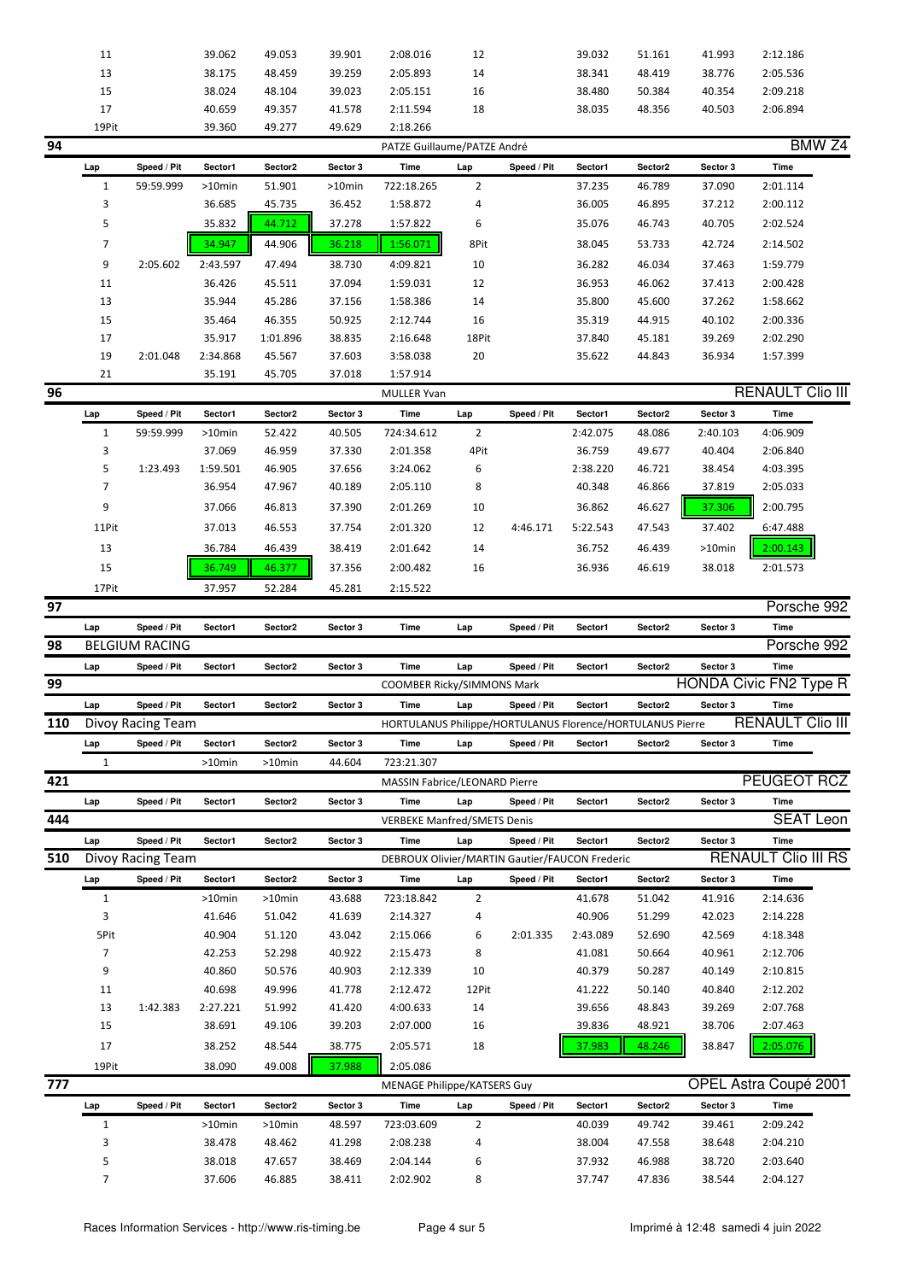|     | 11           |                       | 39.062   | 49.053   | 39.901   | 2:08.016                                                  | 12             |             | 39.032   | 51.161              | 41.993   | 2:12.186                      |  |
|-----|--------------|-----------------------|----------|----------|----------|-----------------------------------------------------------|----------------|-------------|----------|---------------------|----------|-------------------------------|--|
|     | 13           |                       | 38.175   | 48.459   | 39.259   | 2:05.893                                                  | 14             |             | 38.341   | 48.419              | 38.776   | 2:05.536                      |  |
|     | 15           |                       | 38.024   | 48.104   | 39.023   | 2:05.151                                                  | 16             |             | 38.480   | 50.384              | 40.354   | 2:09.218                      |  |
|     | 17           |                       | 40.659   | 49.357   | 41.578   | 2:11.594                                                  | 18             |             | 38.035   | 48.356              | 40.503   | 2:06.894                      |  |
|     | 19Pit        |                       | 39.360   | 49.277   | 49.629   | 2:18.266                                                  |                |             |          |                     |          |                               |  |
| 94  |              |                       |          |          |          | PATZE Guillaume/PATZE André                               |                |             |          |                     |          | BMW <sub>Z4</sub>             |  |
|     |              |                       |          |          |          |                                                           |                |             |          |                     |          |                               |  |
|     | Lap          | Speed / Pit           | Sector1  | Sector2  | Sector 3 | Time                                                      | Lap            | Speed / Pit | Sector1  | Sector2             | Sector 3 | Time                          |  |
|     | $\mathbf{1}$ | 59:59.999             | >10min   | 51.901   | >10min   | 722:18.265                                                | $\overline{2}$ |             | 37.235   | 46.789              | 37.090   | 2:01.114                      |  |
|     | 3            |                       | 36.685   | 45.735   | 36.452   | 1:58.872                                                  | 4              |             | 36.005   | 46.895              | 37.212   | 2:00.112                      |  |
|     | 5            |                       | 35.832   | 44.712   | 37.278   | 1:57.822                                                  | 6              |             | 35.076   | 46.743              | 40.705   | 2:02.524                      |  |
|     | 7            |                       | 34.947   | 44.906   | 36.218   | 1:56.071                                                  | 8Pit           |             | 38.045   | 53.733              | 42.724   | 2:14.502                      |  |
|     | 9            | 2:05.602              | 2:43.597 | 47.494   | 38.730   | 4:09.821                                                  | 10             |             | 36.282   | 46.034              | 37.463   | 1:59.779                      |  |
|     | 11           |                       | 36.426   | 45.511   | 37.094   | 1:59.031                                                  | 12             |             | 36.953   | 46.062              | 37.413   | 2:00.428                      |  |
|     | 13           |                       | 35.944   | 45.286   | 37.156   | 1:58.386                                                  | 14             |             | 35.800   | 45.600              | 37.262   | 1:58.662                      |  |
|     | 15           |                       | 35.464   | 46.355   | 50.925   | 2:12.744                                                  | 16             |             | 35.319   | 44.915              | 40.102   | 2:00.336                      |  |
|     |              |                       |          |          |          |                                                           |                |             |          |                     |          |                               |  |
|     | 17           |                       | 35.917   | 1:01.896 | 38.835   | 2:16.648                                                  | 18Pit          |             | 37.840   | 45.181              | 39.269   | 2:02.290                      |  |
|     | 19           | 2:01.048              | 2:34.868 | 45.567   | 37.603   | 3:58.038                                                  | 20             |             | 35.622   | 44.843              | 36.934   | 1:57.399                      |  |
|     | 21           |                       | 35.191   | 45.705   | 37.018   | 1:57.914                                                  |                |             |          |                     |          |                               |  |
| 96  |              |                       |          |          |          | <b>MULLER Yvan</b>                                        |                |             |          |                     |          | <b>RENAULT Clio III</b>       |  |
|     | Lap          | Speed / Pit           | Sector1  | Sector2  | Sector 3 | Time                                                      | Lap            | Speed / Pit | Sector1  | Sector2             | Sector 3 | Time                          |  |
|     | $\mathbf{1}$ | 59:59.999             | >10min   | 52.422   | 40.505   | 724:34.612                                                | $\overline{2}$ |             | 2:42.075 | 48.086              | 2:40.103 | 4:06.909                      |  |
|     | 3            |                       | 37.069   | 46.959   | 37.330   | 2:01.358                                                  | 4Pit           |             | 36.759   | 49.677              | 40.404   | 2:06.840                      |  |
|     | 5            | 1:23.493              | 1:59.501 | 46.905   | 37.656   | 3:24.062                                                  | 6              |             | 2:38.220 | 46.721              | 38.454   | 4:03.395                      |  |
|     | 7            |                       | 36.954   | 47.967   | 40.189   | 2:05.110                                                  | 8              |             | 40.348   | 46.866              | 37.819   | 2:05.033                      |  |
|     | 9            |                       | 37.066   | 46.813   | 37.390   | 2:01.269                                                  | 10             |             | 36.862   | 46.627              | 37.306   | 2:00.795                      |  |
|     | 11Pit        |                       | 37.013   | 46.553   | 37.754   | 2:01.320                                                  | 12             | 4:46.171    | 5:22.543 | 47.543              | 37.402   | 6:47.488                      |  |
|     |              |                       |          |          |          |                                                           |                |             |          |                     |          |                               |  |
|     | 13           |                       | 36.784   | 46.439   | 38.419   | 2:01.642                                                  | 14             |             | 36.752   | 46.439              | >10min   | 2:00.143                      |  |
|     | 15           |                       | 36.749   | 46.377   | 37.356   | 2:00.482                                                  | 16             |             | 36.936   | 46.619              | 38.018   | 2:01.573                      |  |
|     | 17Pit        |                       | 37.957   | 52.284   | 45.281   | 2:15.522                                                  |                |             |          |                     |          |                               |  |
| 97  |              |                       |          |          |          |                                                           |                |             |          |                     |          | Porsche 992                   |  |
|     | Lap          | Speed / Pit           | Sector1  | Sector2  | Sector 3 | Time                                                      | Lap            | Speed / Pit | Sector1  | Sector <sub>2</sub> | Sector 3 | Time                          |  |
| 98  |              | <b>BELGIUM RACING</b> |          |          |          |                                                           |                |             |          |                     |          | Porsche 992                   |  |
|     | Lap          | Speed / Pit           | Sector1  | Sector2  | Sector 3 | Time                                                      | Lap            | Speed / Pit | Sector1  | Sector2             | Sector 3 | Time                          |  |
| 99  |              |                       |          |          |          | COOMBER Ricky/SIMMONS Mark                                |                |             |          |                     |          | <b>HONDA Civic FN2 Type R</b> |  |
|     | Lap          | Speed / Pit           | Sector1  | Sector2  | Sector 3 | Time                                                      | Lap            | Speed / Pit | Sector1  | Sector2             | Sector 3 | Time                          |  |
| 110 |              |                       |          |          |          |                                                           |                |             |          |                     |          | <b>RENAULT Clio III</b>       |  |
|     |              | Divoy Racing Team     |          |          |          | HORTULANUS Philippe/HORTULANUS Florence/HORTULANUS Pierre |                |             |          |                     |          |                               |  |
|     | Lap          | Speed / Pit           | Sector1  | Sector2  | Sector 3 | Time                                                      | Lap            | Speed / Pit | Sector1  | Sector <sub>2</sub> | Sector 3 | Time                          |  |
|     | 1            |                       | >10min   | >10min   | 44.604   | 723:21.307                                                |                |             |          |                     |          |                               |  |
| 421 |              |                       |          |          |          | <b>MASSIN Fabrice/LEONARD Pierre</b>                      |                |             |          |                     |          | PEUGEOT RCZ                   |  |
|     | Lap          | Speed / Pit           | Sector1  | Sector2  | Sector 3 | Time                                                      | Lap            | Speed / Pit | Sector1  | Sector2             | Sector 3 | Time                          |  |
| 444 |              |                       |          |          |          | <b>VERBEKE Manfred/SMETS Denis</b>                        |                |             |          |                     |          | <b>SEAT Leon</b>              |  |
|     | Lap          | Speed / Pit           | Sector1  | Sector2  | Sector 3 | Time                                                      | Lap            | Speed / Pit | Sector1  | Sector2             | Sector 3 | Time                          |  |
| 510 |              | Divoy Racing Team     |          |          |          | DEBROUX Olivier/MARTIN Gautier/FAUCON Frederic            |                |             |          |                     |          | <b>RENAULT Clio III RS</b>    |  |
|     | Lap          | Speed / Pit           | Sector1  | Sector2  | Sector 3 | Time                                                      | Lap            | Speed / Pit | Sector1  | Sector2             | Sector 3 | Time                          |  |
|     | $\mathbf{1}$ |                       | >10min   | >10min   | 43.688   | 723:18.842                                                | 2              |             | 41.678   | 51.042              | 41.916   | 2:14.636                      |  |
|     |              |                       |          |          |          |                                                           |                |             |          |                     |          |                               |  |
|     | 3            |                       | 41.646   | 51.042   | 41.639   | 2:14.327                                                  | 4              |             | 40.906   | 51.299              | 42.023   | 2:14.228                      |  |
|     | 5Pit         |                       | 40.904   | 51.120   | 43.042   | 2:15.066                                                  | 6              | 2:01.335    | 2:43.089 | 52.690              | 42.569   | 4:18.348                      |  |
|     | 7            |                       | 42.253   | 52.298   | 40.922   | 2:15.473                                                  | 8              |             | 41.081   | 50.664              | 40.961   | 2:12.706                      |  |
|     | 9            |                       | 40.860   | 50.576   | 40.903   | 2:12.339                                                  | 10             |             | 40.379   | 50.287              | 40.149   | 2:10.815                      |  |
|     | 11           |                       | 40.698   | 49.996   | 41.778   | 2:12.472                                                  | 12Pit          |             | 41.222   | 50.140              | 40.840   | 2:12.202                      |  |
|     | 13           | 1:42.383              | 2:27.221 | 51.992   | 41.420   | 4:00.633                                                  | 14             |             | 39.656   | 48.843              | 39.269   | 2:07.768                      |  |
|     | 15           |                       | 38.691   | 49.106   | 39.203   | 2:07.000                                                  | 16             |             | 39.836   | 48.921              | 38.706   | 2:07.463                      |  |
|     | 17           |                       | 38.252   | 48.544   | 38.775   | 2:05.571                                                  | 18             |             | 37.983   | 48.246              | 38.847   | 2:05.076                      |  |
|     | 19Pit        |                       | 38.090   | 49.008   | 37.988   | 2:05.086                                                  |                |             |          |                     |          |                               |  |
| 777 |              |                       |          |          |          | <b>MENAGE Philippe/KATSERS Guy</b>                        |                |             |          |                     |          | OPEL Astra Coupé 2001         |  |
|     |              |                       |          |          |          |                                                           |                |             |          |                     |          |                               |  |
|     | Lap          | Speed / Pit           | Sector1  | Sector2  | Sector 3 | <b>Time</b>                                               | Lap            | Speed / Pit | Sector1  | Sector2             | Sector 3 | Time                          |  |
|     | $\mathbf{1}$ |                       | >10min   | >10min   | 48.597   | 723:03.609                                                | 2              |             | 40.039   | 49.742              | 39.461   | 2:09.242                      |  |
|     |              |                       |          |          |          |                                                           |                |             |          |                     | 38.648   | 2:04.210                      |  |
|     | 3            |                       | 38.478   | 48.462   | 41.298   | 2:08.238                                                  | 4              |             | 38.004   | 47.558              |          |                               |  |
|     | 5            |                       | 38.018   | 47.657   | 38.469   | 2:04.144                                                  | 6              |             | 37.932   | 46.988              | 38.720   | 2:03.640                      |  |